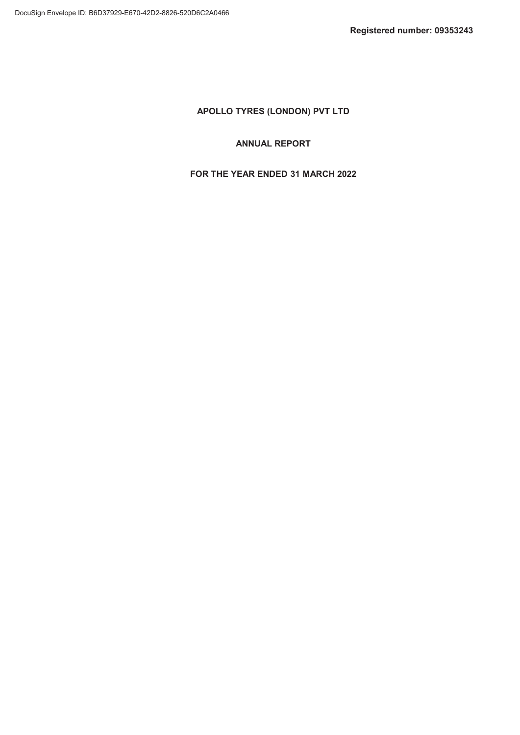# ANNUAL REPORT

# FOR THE YEAR ENDED 31 MARCH 2022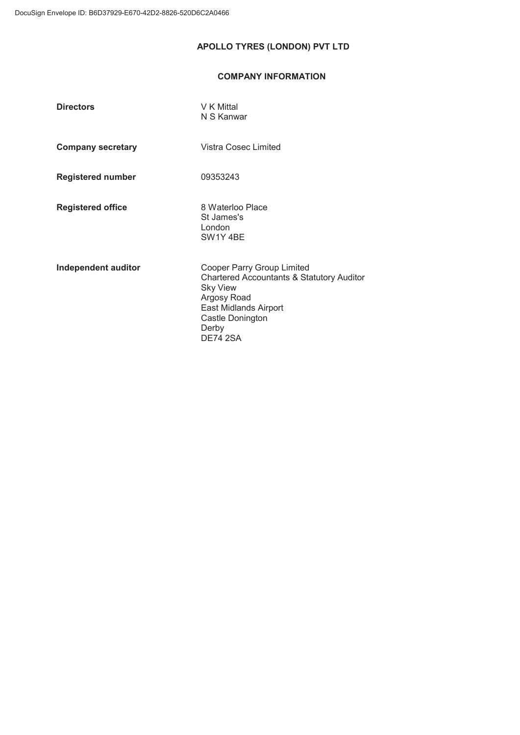# COMPANY INFORMATION

| <b>Directors</b>         | V K Mittal<br>N S Kanwar                                                                                                                                                           |
|--------------------------|------------------------------------------------------------------------------------------------------------------------------------------------------------------------------------|
| <b>Company secretary</b> | Vistra Cosec Limited                                                                                                                                                               |
| <b>Registered number</b> | 09353243                                                                                                                                                                           |
| <b>Registered office</b> | 8 Waterloo Place<br>St James's<br>London<br>SW <sub>1</sub> Y <sub>4</sub> BE                                                                                                      |
| Independent auditor      | Cooper Parry Group Limited<br>Chartered Accountants & Statutory Auditor<br><b>Sky View</b><br>Argosy Road<br>East Midlands Airport<br>Castle Donington<br>Derby<br><b>DE74 2SA</b> |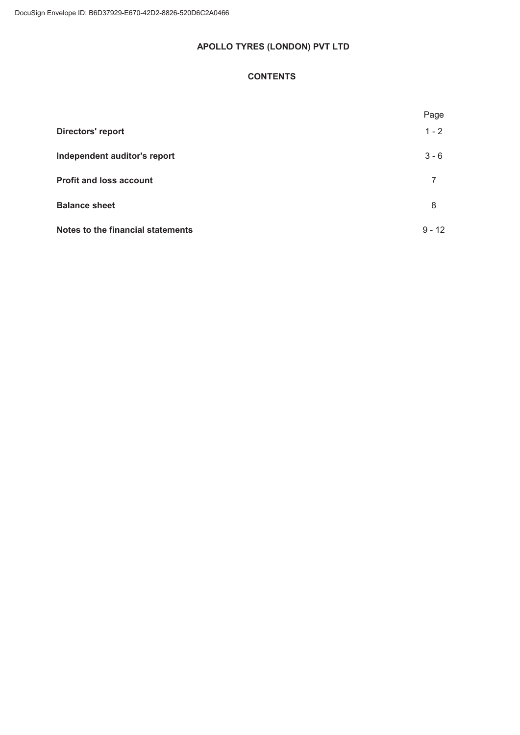# **CONTENTS**

|                                   | Page     |
|-----------------------------------|----------|
| <b>Directors' report</b>          | $1 - 2$  |
| Independent auditor's report      | $3 - 6$  |
| <b>Profit and loss account</b>    | 7        |
| <b>Balance sheet</b>              | 8        |
| Notes to the financial statements | $9 - 12$ |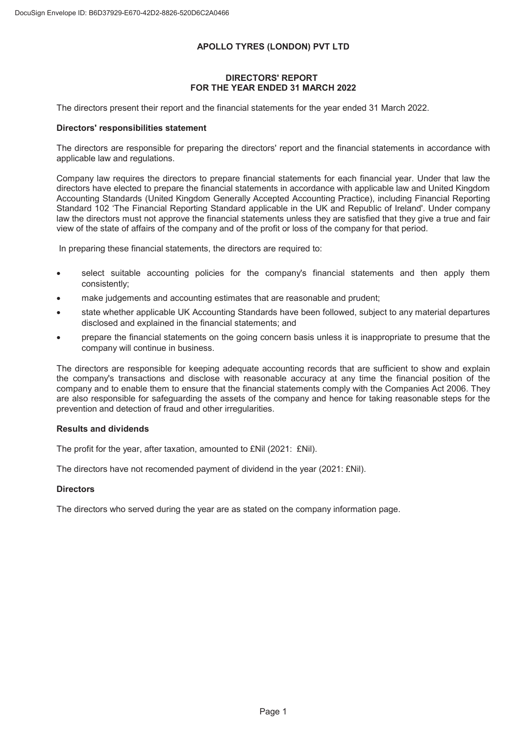#### DIRECTORS' REPORT FOR THE YEAR ENDED 31 MARCH 2022

The directors present their report and the financial statements for the year ended 31 March 2022.

#### Directors' responsibilities statement

The directors are responsible for preparing the directors' report and the financial statements in accordance with applicable law and regulations.

Company law requires the directors to prepare financial statements for each financial year. Under that law the directors have elected to prepare the financial statements in accordance with applicable law and United Kingdom Accounting Standards (United Kingdom Generally Accepted Accounting Practice), including Financial Reporting Standard 102 'The Financial Reporting Standard applicable in the UK and Republic of Ireland'. Under company law the directors must not approve the financial statements unless they are satisfied that they give a true and fair view of the state of affairs of the company and of the profit or loss of the company for that period.

In preparing these financial statements, the directors are required to:

- select suitable accounting policies for the company's financial statements and then apply them consistently;
- make judgements and accounting estimates that are reasonable and prudent;
- state whether applicable UK Accounting Standards have been followed, subject to any material departures disclosed and explained in the financial statements; and
- prepare the financial statements on the going concern basis unless it is inappropriate to presume that the company will continue in business.

The directors are responsible for keeping adequate accounting records that are sufficient to show and explain the company's transactions and disclose with reasonable accuracy at any time the financial position of the company and to enable them to ensure that the financial statements comply with the Companies Act 2006. They are also responsible for safeguarding the assets of the company and hence for taking reasonable steps for the prevention and detection of fraud and other irregularities.

#### Results and dividends

The profit for the year, after taxation, amounted to £Nil (2021: £Nil).

The directors have not recomended payment of dividend in the year (2021: £Nil).

#### **Directors**

The directors who served during the year are as stated on the company information page.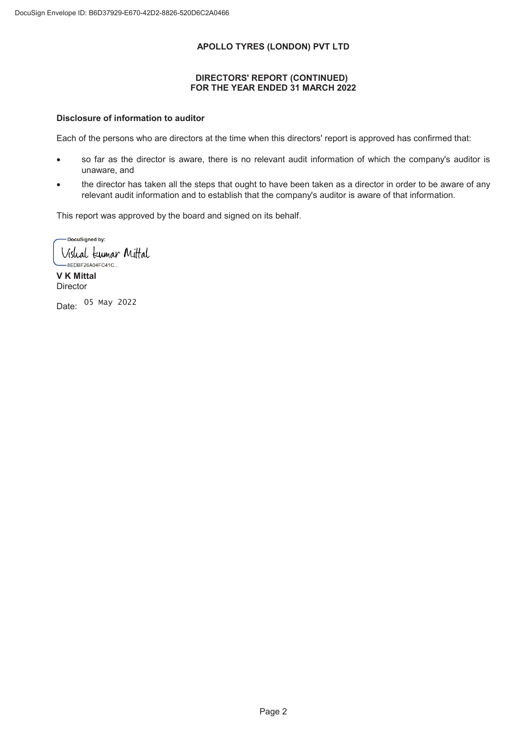### DIRECTORS' REPORT (CONTINUED) FOR THE YEAR ENDED 31 MARCH 2022

### Disclosure of information to auditor

Each of the persons who are directors at the time when this directors' report is approved has confirmed that:

- so far as the director is aware, there is no relevant audit information of which the company's auditor is unaware, and
- the director has taken all the steps that ought to have been taken as a director in order to be aware of any relevant audit information and to establish that the company's auditor is aware of that information.

This report was approved by the board and signed on its behalf.

-DocuSigned by: Vishal kumar Mittal -8EDBF26A04FC41C...

V K Mittal **Director** 

Date: 05 May 2022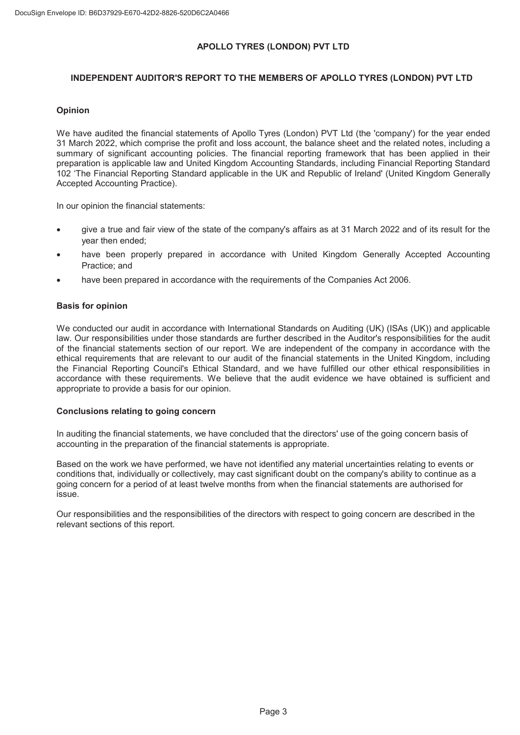# INDEPENDENT AUDITOR'S REPORT TO THE MEMBERS OF APOLLO TYRES (LONDON) PVT LTD

### Opinion

We have audited the financial statements of Apollo Tyres (London) PVT Ltd (the 'company') for the year ended 31 March 2022, which comprise the profit and loss account, the balance sheet and the related notes, including a summary of significant accounting policies. The financial reporting framework that has been applied in their preparation is applicable law and United Kingdom Accounting Standards, including Financial Reporting Standard 102 'The Financial Reporting Standard applicable in the UK and Republic of Ireland' (United Kingdom Generally Accepted Accounting Practice).

In our opinion the financial statements:

- give a true and fair view of the state of the company's affairs as at 31 March 2022 and of its result for the year then ended;
- have been properly prepared in accordance with United Kingdom Generally Accepted Accounting Practice; and
- have been prepared in accordance with the requirements of the Companies Act 2006.

#### Basis for opinion

We conducted our audit in accordance with International Standards on Auditing (UK) (ISAs (UK)) and applicable law. Our responsibilities under those standards are further described in the Auditor's responsibilities for the audit of the financial statements section of our report. We are independent of the company in accordance with the ethical requirements that are relevant to our audit of the financial statements in the United Kingdom, including the Financial Reporting Council's Ethical Standard, and we have fulfilled our other ethical responsibilities in accordance with these requirements. We believe that the audit evidence we have obtained is sufficient and appropriate to provide a basis for our opinion.

#### Conclusions relating to going concern

In auditing the financial statements, we have concluded that the directors' use of the going concern basis of accounting in the preparation of the financial statements is appropriate.

Based on the work we have performed, we have not identified any material uncertainties relating to events or conditions that, individually or collectively, may cast significant doubt on the company's ability to continue as a going concern for a period of at least twelve months from when the financial statements are authorised for issue.

Our responsibilities and the responsibilities of the directors with respect to going concern are described in the relevant sections of this report.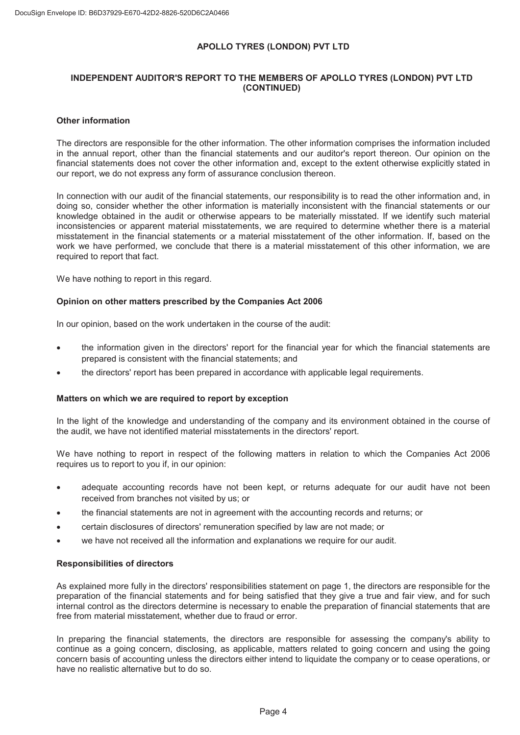# INDEPENDENT AUDITOR'S REPORT TO THE MEMBERS OF APOLLO TYRES (LONDON) PVT LTD (CONTINUED)

#### Other information

The directors are responsible for the other information. The other information comprises the information included in the annual report, other than the financial statements and our auditor's report thereon. Our opinion on the financial statements does not cover the other information and, except to the extent otherwise explicitly stated in our report, we do not express any form of assurance conclusion thereon.

In connection with our audit of the financial statements, our responsibility is to read the other information and, in doing so, consider whether the other information is materially inconsistent with the financial statements or our knowledge obtained in the audit or otherwise appears to be materially misstated. If we identify such material inconsistencies or apparent material misstatements, we are required to determine whether there is a material misstatement in the financial statements or a material misstatement of the other information. If, based on the work we have performed, we conclude that there is a material misstatement of this other information, we are required to report that fact.

We have nothing to report in this regard.

#### Opinion on other matters prescribed by the Companies Act 2006

In our opinion, based on the work undertaken in the course of the audit:

- the information given in the directors' report for the financial year for which the financial statements are prepared is consistent with the financial statements; and
- the directors' report has been prepared in accordance with applicable legal requirements.

#### Matters on which we are required to report by exception

In the light of the knowledge and understanding of the company and its environment obtained in the course of the audit, we have not identified material misstatements in the directors' report.

We have nothing to report in respect of the following matters in relation to which the Companies Act 2006 requires us to report to you if, in our opinion:

- adequate accounting records have not been kept, or returns adequate for our audit have not been received from branches not visited by us; or
- the financial statements are not in agreement with the accounting records and returns; or
- x certain disclosures of directors' remuneration specified by law are not made; or
- we have not received all the information and explanations we require for our audit.

#### Responsibilities of directors

As explained more fully in the directors' responsibilities statement on page 1, the directors are responsible for the preparation of the financial statements and for being satisfied that they give a true and fair view, and for such internal control as the directors determine is necessary to enable the preparation of financial statements that are free from material misstatement, whether due to fraud or error.

In preparing the financial statements, the directors are responsible for assessing the company's ability to continue as a going concern, disclosing, as applicable, matters related to going concern and using the going concern basis of accounting unless the directors either intend to liquidate the company or to cease operations, or have no realistic alternative but to do so.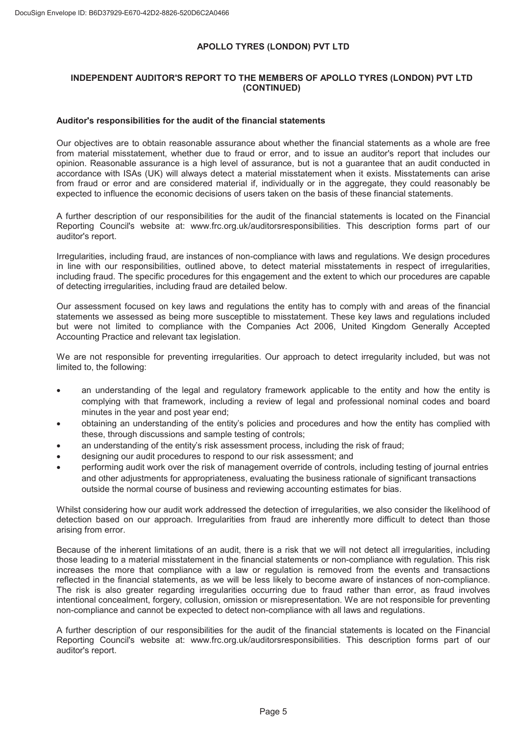# INDEPENDENT AUDITOR'S REPORT TO THE MEMBERS OF APOLLO TYRES (LONDON) PVT LTD (CONTINUED)

#### Auditor's responsibilities for the audit of the financial statements

Our objectives are to obtain reasonable assurance about whether the financial statements as a whole are free from material misstatement, whether due to fraud or error, and to issue an auditor's report that includes our opinion. Reasonable assurance is a high level of assurance, but is not a guarantee that an audit conducted in accordance with ISAs (UK) will always detect a material misstatement when it exists. Misstatements can arise from fraud or error and are considered material if, individually or in the aggregate, they could reasonably be expected to influence the economic decisions of users taken on the basis of these financial statements.

A further description of our responsibilities for the audit of the financial statements is located on the Financial Reporting Council's website at: www.frc.org.uk/auditorsresponsibilities. This description forms part of our auditor's report.

Irregularities, including fraud, are instances of non-compliance with laws and regulations. We design procedures in line with our responsibilities, outlined above, to detect material misstatements in respect of irregularities, including fraud. The specific procedures for this engagement and the extent to which our procedures are capable of detecting irregularities, including fraud are detailed below.

Our assessment focused on key laws and regulations the entity has to comply with and areas of the financial statements we assessed as being more susceptible to misstatement. These key laws and regulations included but were not limited to compliance with the Companies Act 2006, United Kingdom Generally Accepted Accounting Practice and relevant tax legislation.

We are not responsible for preventing irregularities. Our approach to detect irregularity included, but was not limited to, the following:

- an understanding of the legal and regulatory framework applicable to the entity and how the entity is complying with that framework, including a review of legal and professional nominal codes and board minutes in the year and post year end;
- x obtaining an understanding of the entity's policies and procedures and how the entity has complied with these, through discussions and sample testing of controls;
- an understanding of the entity's risk assessment process, including the risk of fraud;
- designing our audit procedures to respond to our risk assessment; and
- performing audit work over the risk of management override of controls, including testing of journal entries and other adjustments for appropriateness, evaluating the business rationale of significant transactions outside the normal course of business and reviewing accounting estimates for bias.

Whilst considering how our audit work addressed the detection of irregularities, we also consider the likelihood of detection based on our approach. Irregularities from fraud are inherently more difficult to detect than those arising from error.

Because of the inherent limitations of an audit, there is a risk that we will not detect all irregularities, including those leading to a material misstatement in the financial statements or non-compliance with regulation. This risk increases the more that compliance with a law or regulation is removed from the events and transactions reflected in the financial statements, as we will be less likely to become aware of instances of non-compliance. The risk is also greater regarding irregularities occurring due to fraud rather than error, as fraud involves intentional concealment, forgery, collusion, omission or misrepresentation. We are not responsible for preventing non-compliance and cannot be expected to detect non-compliance with all laws and regulations.

A further description of our responsibilities for the audit of the financial statements is located on the Financial Reporting Council's website at: www.frc.org.uk/auditorsresponsibilities. This description forms part of our auditor's report.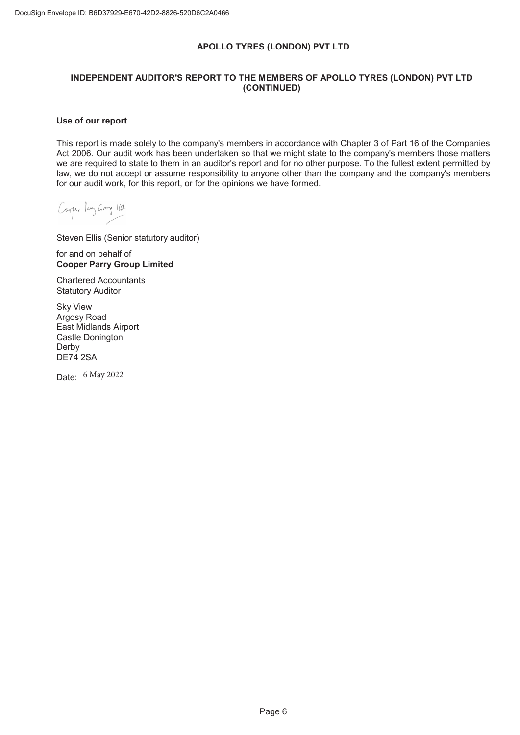# INDEPENDENT AUDITOR'S REPORT TO THE MEMBERS OF APOLLO TYRES (LONDON) PVT LTD (CONTINUED)

#### Use of our report

This report is made solely to the company's members in accordance with Chapter 3 of Part 16 of the Companies Act 2006. Our audit work has been undertaken so that we might state to the company's members those matters we are required to state to them in an auditor's report and for no other purpose. To the fullest extent permitted by law, we do not accept or assume responsibility to anyone other than the company and the company's members for our audit work, for this report, or for the opinions we have formed.

Cooper lang Groy 11.

Steven Ellis (Senior statutory auditor)

for and on behalf of Cooper Parry Group Limited

Chartered Accountants Statutory Auditor

Sky View Argosy Road East Midlands Airport Castle Donington Derby DE74 2SA

Date: 6 May 2022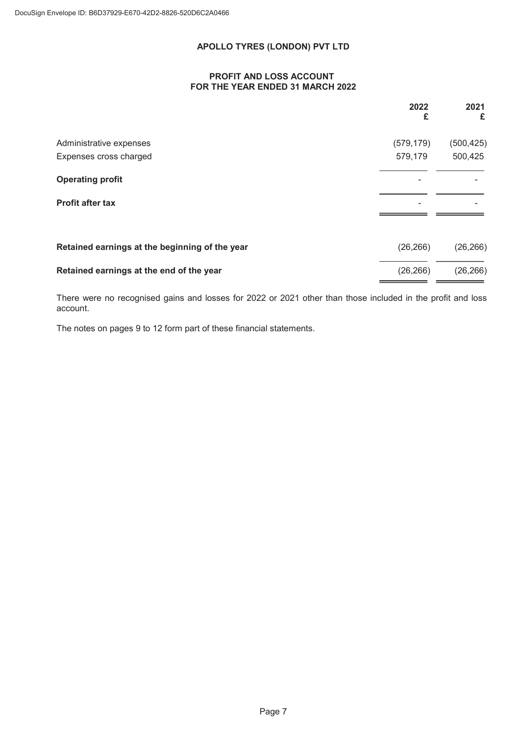## PROFIT AND LOSS ACCOUNT FOR THE YEAR ENDED 31 MARCH 2022

|                                                | 2022<br>£  | 2021<br>£  |
|------------------------------------------------|------------|------------|
| Administrative expenses                        | (579, 179) | (500, 425) |
| Expenses cross charged                         | 579,179    | 500,425    |
| <b>Operating profit</b>                        |            |            |
| <b>Profit after tax</b>                        | -          |            |
|                                                |            |            |
| Retained earnings at the beginning of the year | (26, 266)  | (26, 266)  |
| Retained earnings at the end of the year       | (26, 266)  | (26, 266)  |

There were no recognised gains and losses for 2022 or 2021 other than those included in the profit and loss account.

The notes on pages 9 to 12 form part of these financial statements.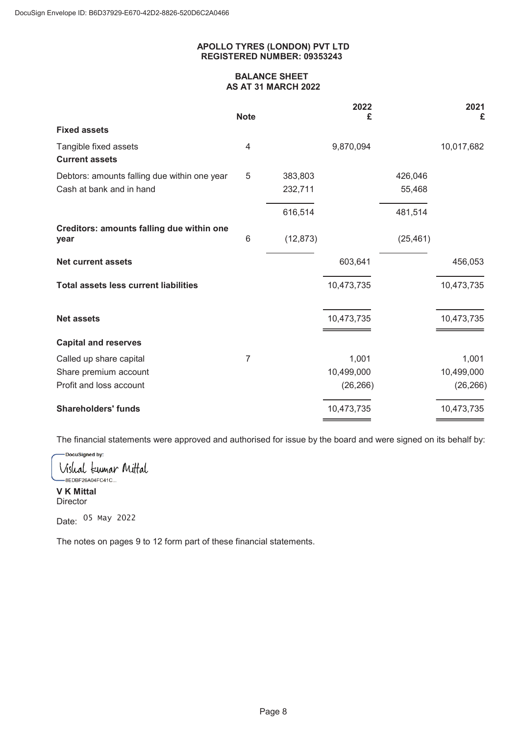### APOLLO TYRES (LONDON) PVT LTD REGISTERED NUMBER: 09353243

### BALANCE SHEET AS AT 31 MARCH 2022

|                                                   | <b>Note</b>    |           | 2022<br>£  |           | 2021<br>£  |
|---------------------------------------------------|----------------|-----------|------------|-----------|------------|
| <b>Fixed assets</b>                               |                |           |            |           |            |
| Tangible fixed assets                             | 4              |           | 9,870,094  |           | 10,017,682 |
| <b>Current assets</b>                             |                |           |            |           |            |
| Debtors: amounts falling due within one year      | 5              | 383,803   |            | 426,046   |            |
| Cash at bank and in hand                          |                | 232,711   |            | 55,468    |            |
|                                                   |                | 616,514   |            | 481,514   |            |
| Creditors: amounts falling due within one<br>year | 6              | (12, 873) |            | (25, 461) |            |
| <b>Net current assets</b>                         |                |           | 603,641    |           | 456,053    |
| <b>Total assets less current liabilities</b>      |                |           | 10,473,735 |           | 10,473,735 |
| <b>Net assets</b>                                 |                |           | 10,473,735 |           | 10,473,735 |
| <b>Capital and reserves</b>                       |                |           |            |           |            |
| Called up share capital                           | $\overline{7}$ |           | 1,001      |           | 1,001      |
| Share premium account                             |                |           | 10,499,000 |           | 10,499,000 |
| Profit and loss account                           |                |           | (26, 266)  |           | (26, 266)  |
| <b>Shareholders' funds</b>                        |                |           | 10,473,735 |           | 10,473,735 |

The financial statements were approved and authorised for issue by the board and were signed on its behalf by:

-DocuSigned by: Vishal kumar Mittal

-8EDBF26A04FC41C... V K Mittal **Director** 

Date: <sup>05 May</sup> 2022

The notes on pages 9 to 12 form part of these financial statements.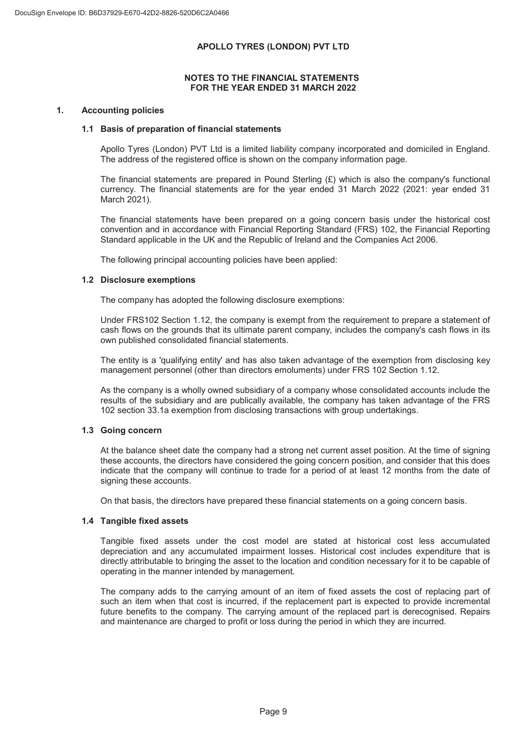### NOTES TO THE FINANCIAL STATEMENTS FOR THE YEAR ENDED 31 MARCH 2022

### 1. Accounting policies

### 1.1 Basis of preparation of financial statements

Apollo Tyres (London) PVT Ltd is a limited liability company incorporated and domiciled in England. The address of the registered office is shown on the company information page.

The financial statements are prepared in Pound Sterling  $(E)$  which is also the company's functional currency. The financial statements are for the year ended 31 March 2022 (2021: year ended 31 March 2021).

The financial statements have been prepared on a going concern basis under the historical cost convention and in accordance with Financial Reporting Standard (FRS) 102, the Financial Reporting Standard applicable in the UK and the Republic of Ireland and the Companies Act 2006.

The following principal accounting policies have been applied:

### 1.2 Disclosure exemptions

The company has adopted the following disclosure exemptions:

Under FRS102 Section 1.12, the company is exempt from the requirement to prepare a statement of cash flows on the grounds that its ultimate parent company, includes the company's cash flows in its own published consolidated financial statements.

The entity is a 'qualifying entity' and has also taken advantage of the exemption from disclosing key management personnel (other than directors emoluments) under FRS 102 Section 1.12.

As the company is a wholly owned subsidiary of a company whose consolidated accounts include the results of the subsidiary and are publically available, the company has taken advantage of the FRS 102 section 33.1a exemption from disclosing transactions with group undertakings.

# 1.3 Going concern

At the balance sheet date the company had a strong net current asset position. At the time of signing these accounts, the directors have considered the going concern position, and consider that this does indicate that the company will continue to trade for a period of at least 12 months from the date of signing these accounts.

On that basis, the directors have prepared these financial statements on a going concern basis.

#### 1.4 Tangible fixed assets

Tangible fixed assets under the cost model are stated at historical cost less accumulated depreciation and any accumulated impairment losses. Historical cost includes expenditure that is directly attributable to bringing the asset to the location and condition necessary for it to be capable of operating in the manner intended by management.

The company adds to the carrying amount of an item of fixed assets the cost of replacing part of such an item when that cost is incurred, if the replacement part is expected to provide incremental future benefits to the company. The carrying amount of the replaced part is derecognised. Repairs and maintenance are charged to profit or loss during the period in which they are incurred.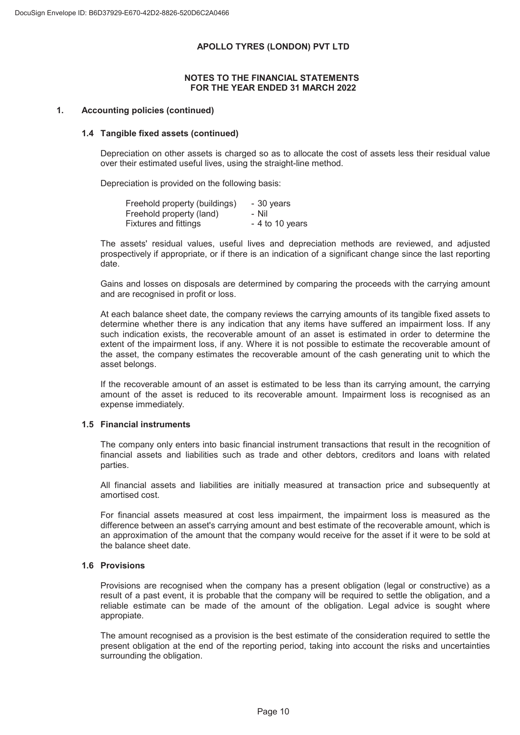### NOTES TO THE FINANCIAL STATEMENTS FOR THE YEAR ENDED 31 MARCH 2022

### 1. Accounting policies (continued)

#### 1.4 Tangible fixed assets (continued)

Depreciation on other assets is charged so as to allocate the cost of assets less their residual value over their estimated useful lives, using the straight-line method.

Depreciation is provided on the following basis:

| Freehold property (buildings) | - 30 years       |
|-------------------------------|------------------|
| Freehold property (land)      | - Nil            |
| Fixtures and fittings         | $-4$ to 10 years |

The assets' residual values, useful lives and depreciation methods are reviewed, and adjusted prospectively if appropriate, or if there is an indication of a significant change since the last reporting date.

Gains and losses on disposals are determined by comparing the proceeds with the carrying amount and are recognised in profit or loss.

At each balance sheet date, the company reviews the carrying amounts of its tangible fixed assets to determine whether there is any indication that any items have suffered an impairment loss. If any such indication exists, the recoverable amount of an asset is estimated in order to determine the extent of the impairment loss, if any. Where it is not possible to estimate the recoverable amount of the asset, the company estimates the recoverable amount of the cash generating unit to which the asset belongs.

If the recoverable amount of an asset is estimated to be less than its carrying amount, the carrying amount of the asset is reduced to its recoverable amount. Impairment loss is recognised as an expense immediately.

#### 1.5 Financial instruments

The company only enters into basic financial instrument transactions that result in the recognition of financial assets and liabilities such as trade and other debtors, creditors and loans with related parties.

All financial assets and liabilities are initially measured at transaction price and subsequently at amortised cost.

For financial assets measured at cost less impairment, the impairment loss is measured as the difference between an asset's carrying amount and best estimate of the recoverable amount, which is an approximation of the amount that the company would receive for the asset if it were to be sold at the balance sheet date.

#### 1.6 Provisions

Provisions are recognised when the company has a present obligation (legal or constructive) as a result of a past event, it is probable that the company will be required to settle the obligation, and a reliable estimate can be made of the amount of the obligation. Legal advice is sought where appropiate.

The amount recognised as a provision is the best estimate of the consideration required to settle the present obligation at the end of the reporting period, taking into account the risks and uncertainties surrounding the obligation.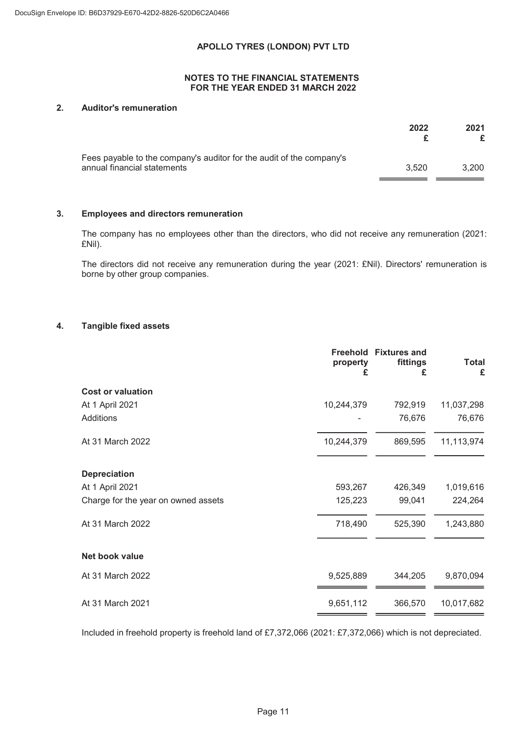### NOTES TO THE FINANCIAL STATEMENTS FOR THE YEAR ENDED 31 MARCH 2022

### 2. Auditor's remuneration

|                                                                      | 2022  | 2021  |
|----------------------------------------------------------------------|-------|-------|
| Fees payable to the company's auditor for the audit of the company's |       |       |
| annual financial statements                                          | 3.520 | 3.200 |

### 3. Employees and directors remuneration

The company has no employees other than the directors, who did not receive any remuneration (2021: £Nil).

The directors did not receive any remuneration during the year (2021: £Nil). Directors' remuneration is borne by other group companies.

### 4. Tangible fixed assets

|                                     | property<br>£ | <b>Freehold Fixtures and</b><br>fittings<br>£ | <b>Total</b><br>£ |
|-------------------------------------|---------------|-----------------------------------------------|-------------------|
| <b>Cost or valuation</b>            |               |                                               |                   |
| At 1 April 2021                     | 10,244,379    | 792,919                                       | 11,037,298        |
| Additions                           |               | 76,676                                        | 76,676            |
| At 31 March 2022                    | 10,244,379    | 869,595                                       | 11,113,974        |
| <b>Depreciation</b>                 |               |                                               |                   |
| At 1 April 2021                     | 593,267       | 426,349                                       | 1,019,616         |
| Charge for the year on owned assets | 125,223       | 99,041                                        | 224,264           |
| At 31 March 2022                    | 718,490       | 525,390                                       | 1,243,880         |
| Net book value                      |               |                                               |                   |
| At 31 March 2022                    | 9,525,889     | 344,205                                       | 9,870,094         |
| At 31 March 2021                    | 9,651,112     | 366,570                                       | 10,017,682        |
|                                     |               |                                               |                   |

Included in freehold property is freehold land of £7,372,066 (2021: £7,372,066) which is not depreciated.